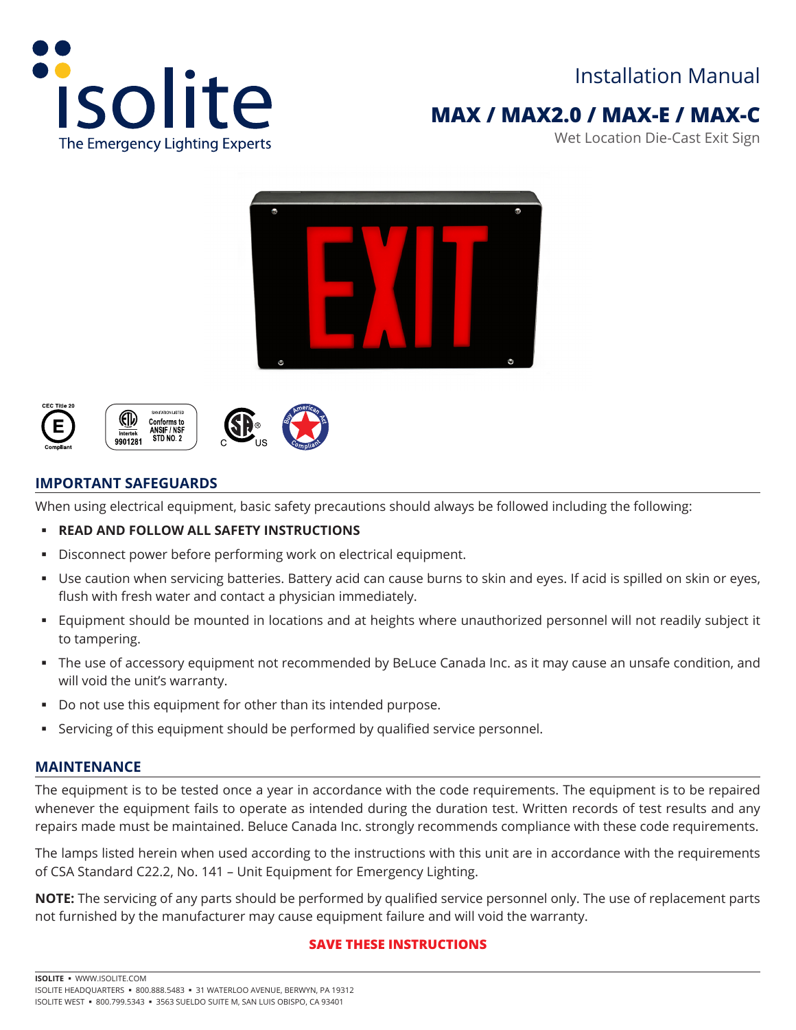

# **MAX / MAX2.0 / MAX-E / MAX-C**

Wet Location Die-Cast Exit Sign









### **IMPORTANT SAFEGUARDS**

When using electrical equipment, basic safety precautions should always be followed including the following:

### **READ AND FOLLOW ALL SAFETY INSTRUCTIONS**

- Disconnect power before performing work on electrical equipment.
- Use caution when servicing batteries. Battery acid can cause burns to skin and eyes. If acid is spilled on skin or eyes, flush with fresh water and contact a physician immediately.
- Equipment should be mounted in locations and at heights where unauthorized personnel will not readily subject it to tampering.
- The use of accessory equipment not recommended by BeLuce Canada Inc. as it may cause an unsafe condition, and will void the unit's warranty.
- Do not use this equipment for other than its intended purpose.
- Servicing of this equipment should be performed by qualified service personnel.

### **MAINTENANCE**

The equipment is to be tested once a year in accordance with the code requirements. The equipment is to be repaired whenever the equipment fails to operate as intended during the duration test. Written records of test results and any repairs made must be maintained. Beluce Canada Inc. strongly recommends compliance with these code requirements.

The lamps listed herein when used according to the instructions with this unit are in accordance with the requirements of CSA Standard C22.2, No. 141 – Unit Equipment for Emergency Lighting.

**NOTE:** The servicing of any parts should be performed by qualified service personnel only. The use of replacement parts not furnished by the manufacturer may cause equipment failure and will void the warranty.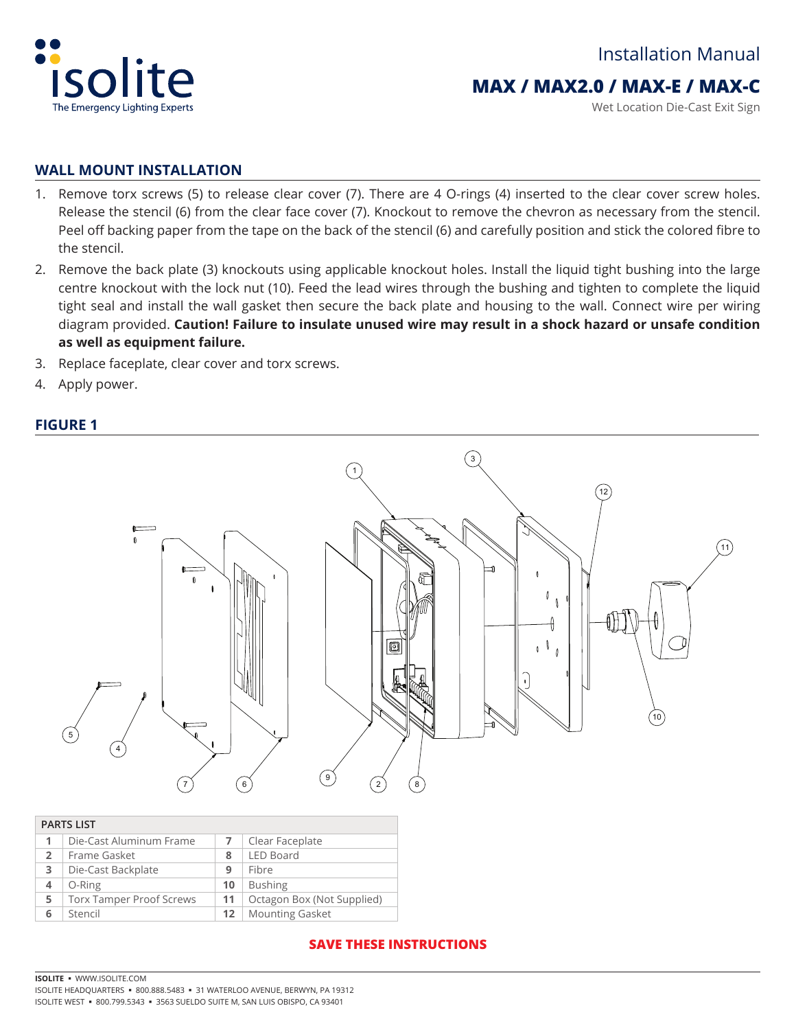

### **MAX / MAX2.0 / MAX-E / MAX-C**

Wet Location Die-Cast Exit Sign

#### **WALL MOUNT INSTALLATION**

- 1. Remove torx screws (5) to release clear cover (7). There are 4 O-rings (4) inserted to the clear cover screw holes. Release the stencil (6) from the clear face cover (7). Knockout to remove the chevron as necessary from the stencil. Peel off backing paper from the tape on the back of the stencil (6) and carefully position and stick the colored fibre to the stencil.
- 2. Remove the back plate (3) knockouts using applicable knockout holes. Install the liquid tight bushing into the large centre knockout with the lock nut (10). Feed the lead wires through the bushing and tighten to complete the liquid tight seal and install the wall gasket then secure the back plate and housing to the wall. Connect wire per wiring diagram provided. **Caution! Failure to insulate unused wire may result in a shock hazard or unsafe condition as well as equipment failure.**
- 3. Replace faceplate, clear cover and torx screws.
- 4. Apply power.

### **FIGURE 1**



|                | <b>PARTS LIST</b>               |    |                            |
|----------------|---------------------------------|----|----------------------------|
| 1              | Die-Cast Aluminum Frame         |    | Clear Faceplate            |
| $\overline{2}$ | Frame Gasket                    | 8  | <b>LED Board</b>           |
| 3              | Die-Cast Backplate              | 9  | Fibre                      |
| 4              | O-Ring                          | 10 | <b>Bushing</b>             |
| 5              | <b>Torx Tamper Proof Screws</b> | 11 | Octagon Box (Not Supplied) |
| 6              | Stencil                         | 12 | <b>Mounting Gasket</b>     |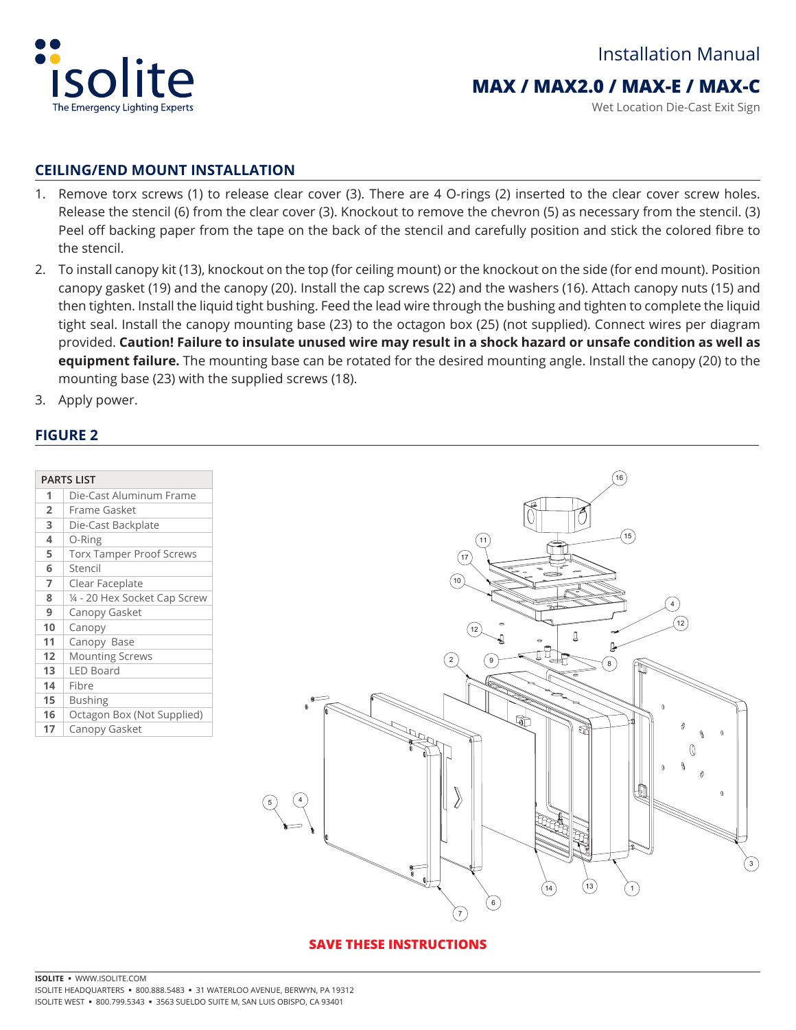

### **MAX / MAX2.0 / MAX-E / MAX-C**

Wet Location Die-Cast Exit Sign

### **CEILING/END MOUNT INSTALLATION**

- 1. Remove torx screws (1) to release clear cover (3). There are 4 O-rings (2) inserted to the clear cover screw holes. Release the stencil (6) from the clear cover (3). Knockout to remove the chevron (5) as necessary from the stencil. (3) Peel off backing paper from the tape on the back of the stencil and carefully position and stick the colored fibre to the stencil.
- 2. To install canopy kit (13), knockout on the top (for ceiling mount) or the knockout on the side (for end mount). Position canopy gasket (19) and the canopy (20). Install the cap screws (22) and the washers (16). Attach canopy nuts (15) and then tighten. Install the liquid tight bushing. Feed the lead wire through the bushing and tighten to complete the liquid tight seal. Install the canopy mounting base (23) to the octagon box (25) (not supplied). Connect wires per diagram provided. **Caution! Failure to insulate unused wire may result in a shock hazard or unsafe condition as well as equipment failure.** The mounting base can be rotated for the desired mounting angle. Install the canopy (20) to the mounting base (23) with the supplied screws (18).
- 3. Apply power.

### **FIGURE 2**

| <b>PARTS LIST</b> |                                 |
|-------------------|---------------------------------|
| 1                 | Die-Cast Aluminum Frame         |
| $\overline{2}$    | Frame Gasket                    |
| 3                 | Die-Cast Backplate              |
| 4                 | O-Ring                          |
| 5                 | <b>Torx Tamper Proof Screws</b> |
| 6                 | Stencil                         |
| $\overline{7}$    | Clear Faceplate                 |
| 8                 | 14 - 20 Hex Socket Cap Screw    |
| 9                 | Canopy Gasket                   |
| 10                | Canopy                          |
| 11                | Canopy Base                     |
| 12                | <b>Mounting Screws</b>          |
| 13                | LED Board                       |
| 14                | Fibre                           |
| 15                | <b>Bushing</b>                  |
| 16                | Octagon Box (Not Supplied)      |
| 17                | Canopy Gasket                   |

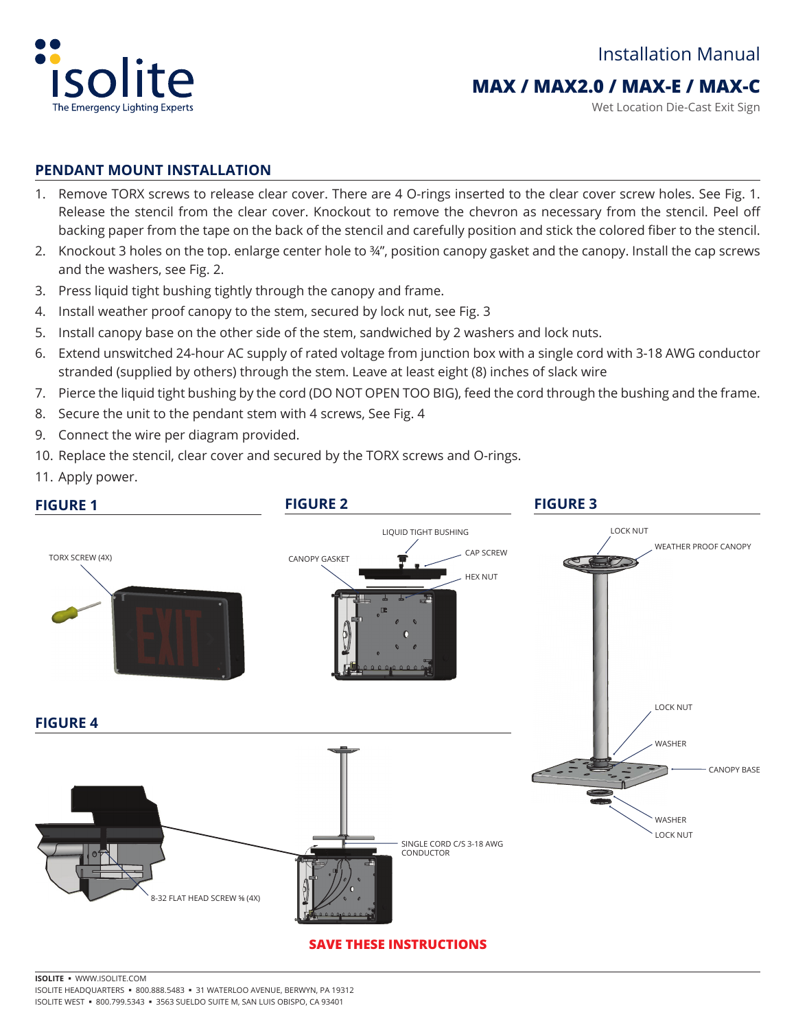

### **MAX / MAX2.0 / MAX-E / MAX-C**

Wet Location Die-Cast Exit Sign

### **PENDANT MOUNT INSTALLATION**

- 1. Remove TORX screws to release clear cover. There are 4 O-rings inserted to the clear cover screw holes. See Fig. 1. Release the stencil from the clear cover. Knockout to remove the chevron as necessary from the stencil. Peel off backing paper from the tape on the back of the stencil and carefully position and stick the colored fiber to the stencil.
- 2. Knockout 3 holes on the top. enlarge center hole to ¾", position canopy gasket and the canopy. Install the cap screws and the washers, see Fig. 2.
- 3. Press liquid tight bushing tightly through the canopy and frame.
- 4. Install weather proof canopy to the stem, secured by lock nut, see Fig. 3
- 5. Install canopy base on the other side of the stem, sandwiched by 2 washers and lock nuts.
- 6. Extend unswitched 24-hour AC supply of rated voltage from junction box with a single cord with 3-18 AWG conductor stranded (supplied by others) through the stem. Leave at least eight (8) inches of slack wire
- 7. Pierce the liquid tight bushing by the cord (DO NOT OPEN TOO BIG), feed the cord through the bushing and the frame.
- 8. Secure the unit to the pendant stem with 4 screws, See Fig. 4
- 9. Connect the wire per diagram provided.
- 10. Replace the stencil, clear cover and secured by the TORX screws and O-rings.
- 11. Apply power.